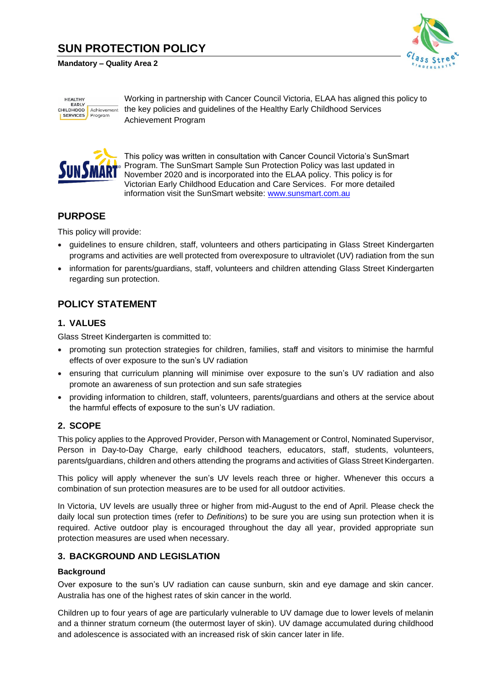# **SUN PROTECTION POLICY**

#### **Mandatory – Quality Area 2**



**HEALTHY** EARLY<br>CHILDHOOD Achievement **SERVICES** Program

Working in partnership with Cancer Council Victoria, ELAA has aligned this policy to the key policies and guidelines of the Healthy Early Childhood Services Achievement Program



This policy was written in consultation with Cancer Council Victoria's SunSmart Program. The SunSmart Sample Sun Protection Policy was last updated in November 2020 and is incorporated into the ELAA policy. This policy is for Victorian Early Childhood Education and Care Services. For more detailed information visit the SunSmart website: [www.sunsmart.com.au](https://www.sunsmart.com.au/)

## **PURPOSE**

This policy will provide:

- guidelines to ensure children, staff, volunteers and others participating in Glass Street Kindergarten programs and activities are well protected from overexposure to ultraviolet (UV) radiation from the sun
- information for parents/guardians, staff, volunteers and children attending Glass Street Kindergarten regarding sun protection.

## **POLICY STATEMENT**

### **1. VALUES**

Glass Street Kindergarten is committed to:

- promoting sun protection strategies for children, families, staff and visitors to minimise the harmful effects of over exposure to the sun's UV radiation
- ensuring that curriculum planning will minimise over exposure to the sun's UV radiation and also promote an awareness of sun protection and sun safe strategies
- providing information to children, staff, volunteers, parents/guardians and others at the service about the harmful effects of exposure to the sun's UV radiation.

#### **2. SCOPE**

This policy applies to the Approved Provider, Person with Management or Control, Nominated Supervisor, Person in Day-to-Day Charge, early childhood teachers, educators, staff, students, volunteers, parents/guardians, children and others attending the programs and activities of Glass Street Kindergarten.

This policy will apply whenever the sun's UV levels reach three or higher. Whenever this occurs a combination of sun protection measures are to be used for all outdoor activities.

In Victoria, UV levels are usually three or higher from mid-August to the end of April. Please check the daily local sun protection times (refer to *Definitions*) to be sure you are using sun protection when it is required. Active outdoor play is encouraged throughout the day all year, provided appropriate sun protection measures are used when necessary.

#### **3. BACKGROUND AND LEGISLATION**

#### **Background**

Over exposure to the sun's UV radiation can cause sunburn, skin and eye damage and skin cancer. Australia has one of the highest rates of skin cancer in the world.

Children up to four years of age are particularly vulnerable to UV damage due to lower levels of melanin and a thinner stratum corneum (the outermost layer of skin). UV damage accumulated during childhood and adolescence is associated with an increased risk of skin cancer later in life.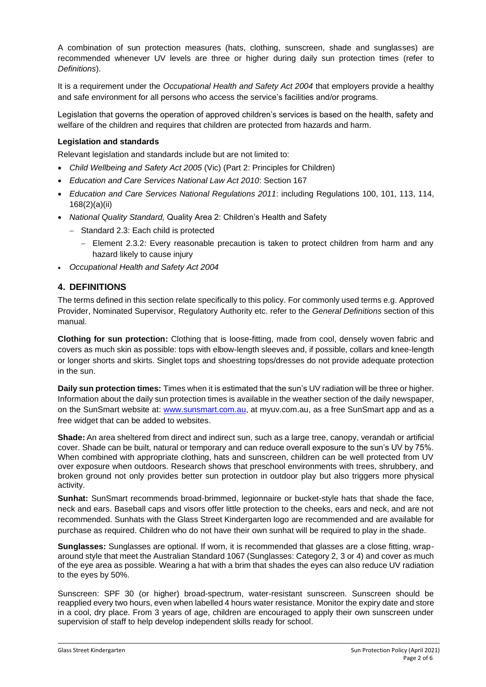A combination of sun protection measures (hats, clothing, sunscreen, shade and sunglasses) are recommended whenever UV levels are three or higher during daily sun protection times (refer to *Definitions*).

It is a requirement under the *Occupational Health and Safety Act 2004* that employers provide a healthy and safe environment for all persons who access the service's facilities and/or programs.

Legislation that governs the operation of approved children's services is based on the health, safety and welfare of the children and requires that children are protected from hazards and harm.

#### **Legislation and standards**

Relevant legislation and standards include but are not limited to:

- *Child Wellbeing and Safety Act 2005* (Vic) (Part 2: Principles for Children)
- *Education and Care Services National Law Act 2010*: Section 167
- *Education and Care Services National Regulations 2011*: including Regulations 100, 101, 113, 114, 168(2)(a)(ii)
- *National Quality Standard,* Quality Area 2: Children's Health and Safety
	- − Standard 2.3: Each child is protected
		- − Element 2.3.2: Every reasonable precaution is taken to protect children from harm and any hazard likely to cause injury
- *Occupational Health and Safety Act 2004*

#### **4. DEFINITIONS**

The terms defined in this section relate specifically to this policy. For commonly used terms e.g. Approved Provider, Nominated Supervisor, Regulatory Authority etc. refer to the *General Definitions* section of this manual.

**Clothing for sun protection:** Clothing that is loose-fitting, made from cool, densely woven fabric and covers as much skin as possible: tops with elbow-length sleeves and, if possible, collars and knee-length or longer shorts and skirts. Singlet tops and shoestring tops/dresses do not provide adequate protection in the sun.

**Daily sun protection times:** Times when it is estimated that the sun's UV radiation will be three or higher. Information about the daily sun protection times is available in the weather section of the daily newspaper, on the SunSmart website at: [www.sunsmart.com.au,](http://www.sunsmart.com.au/) at myuv.com.au, as a free SunSmart app and as a free widget that can be added to websites.

**Shade:** An area sheltered from direct and indirect sun, such as a large tree, canopy, verandah or artificial cover. Shade can be built, natural or temporary and can reduce overall exposure to the sun's UV by 75%. When combined with appropriate clothing, hats and sunscreen, children can be well protected from UV over exposure when outdoors. Research shows that preschool environments with trees, shrubbery, and broken ground not only provides better sun protection in outdoor play but also triggers more physical activity.

**Sunhat:** SunSmart recommends broad-brimmed, legionnaire or bucket-style hats that shade the face, neck and ears. Baseball caps and visors offer little protection to the cheeks, ears and neck, and are not recommended. Sunhats with the Glass Street Kindergarten logo are recommended and are available for purchase as required. Children who do not have their own sunhat will be required to play in the shade.

**Sunglasses:** Sunglasses are optional. If worn, it is recommended that glasses are a close fitting, wraparound style that meet the Australian Standard 1067 (Sunglasses: Category 2, 3 or 4) and cover as much of the eye area as possible. Wearing a hat with a brim that shades the eyes can also reduce UV radiation to the eyes by 50%.

Sunscreen: SPF 30 (or higher) broad-spectrum, water-resistant sunscreen. Sunscreen should be reapplied every two hours, even when labelled 4 hours water resistance. Monitor the expiry date and store in a cool, dry place. From 3 years of age, children are encouraged to apply their own sunscreen under supervision of staff to help develop independent skills ready for school.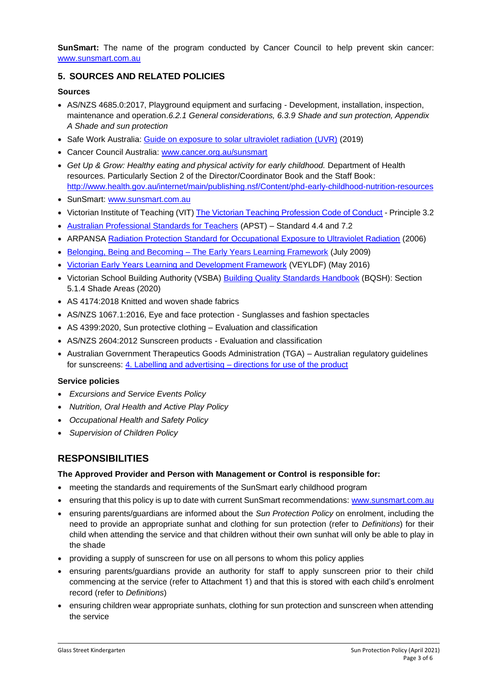**SunSmart:** The name of the program conducted by Cancer Council to help prevent skin cancer: [www.sunsmart.com.au](http://www.sunsmart.com.au/)

### **5. SOURCES AND RELATED POLICIES**

#### **Sources**

- AS/NZS 4685.0:2017, Playground equipment and surfacing Development, installation, inspection, maintenance and operation.*6.2.1 General considerations, 6.3.9 Shade and sun protection, Appendix A Shade and sun protection*
- Safe Work Australia: [Guide on exposure to solar ultraviolet radiation \(UVR\)](https://www.safeworkaustralia.gov.au/system/files/documents/2001/guide-exposure-solar-ultraviolet-radiation_1.pdf) (2019)
- Cancer Council Australia: [www.cancer.org.au/sunsmart](http://www.cancer.org.au/sunsmart)
- Get Up & Grow: Healthy eating and physical activity for early childhood. Department of Health resources. Particularly Section 2 of the Director/Coordinator Book and the Staff Book: <http://www.health.gov.au/internet/main/publishing.nsf/Content/phd-early-childhood-nutrition-resources>
- SunSmart: [www.sunsmart.com.au](http://www.sunsmart.com.au/)
- Victorian Institute of Teaching (VIT) [The Victorian Teaching Profession Code of Conduct](http://www.vit.vic.edu.au/__data/assets/pdf_file/0018/35604/Code-of-Conduct-2016.pdf) Principle 3.2
- [Australian Professional Standards for Teachers](http://www.vit.vic.edu.au/__data/assets/pdf_file/0005/38678/Opportunities-for-demonstrating-the-APST-through-Inquiry-approach.pdf) (APST) Standard 4.4 and 7.2
- ARPANSA [Radiation Protection Standard for Occupational Exposure to Ultraviolet Radiation](http://www.arpansa.gov.au/pubs/rps/rps12.pdf) (2006)
- Belonging, Being and Becoming [The Early Years Learning Framework](https://www.education.gov.au/early-years-learning-framework) (July 2009)
- [Victorian Early Years Learning and Development Framework](http://www.education.vic.gov.au/childhood/providers/edcare/pages/veyladf.aspx?Redirect=1) (VEYLDF) (May 2016)
- Victorian School Building Authority (VSBA) **Building Quality Standards Handbook (BQSH)**: Section 5.1.4 Shade Areas (2020)
- AS 4174:2018 Knitted and woven shade fabrics
- AS/NZS 1067.1:2016, Eye and face protection Sunglasses and fashion spectacles
- AS 4399:2020, Sun protective clothing Evaluation and classification
- AS/NZS 2604:2012 Sunscreen products Evaluation and classification
- Australian Government Therapeutics Goods Administration (TGA) Australian regulatory guidelines for sunscreens: 4. Labelling and advertising – [directions for use of the product](https://www.tga.gov.au/book/4-labelling-and-advertising)

#### **Service policies**

- *Excursions and Service Events Policy*
- *Nutrition, Oral Health and Active Play Policy*
- *Occupational Health and Safety Policy*
- *Supervision of Children Policy*

## **RESPONSIBILITIES**

#### **The Approved Provider and Person with Management or Control is responsible for:**

- meeting the standards and requirements of the SunSmart early childhood program
- ensuring that this policy is up to date with current SunSmart recommendations: [www.sunsmart.com.au](http://www.sunsmart.com.au/)
- ensuring parents/guardians are informed about the *Sun Protection Policy* on enrolment, including the need to provide an appropriate sunhat and clothing for sun protection (refer to *Definitions*) for their child when attending the service and that children without their own sunhat will only be able to play in the shade
- providing a supply of sunscreen for use on all persons to whom this policy applies
- ensuring parents/guardians provide an authority for staff to apply sunscreen prior to their child commencing at the service (refer to Attachment 1) and that this is stored with each child's enrolment record (refer to *Definitions*)
- ensuring children wear appropriate sunhats, clothing for sun protection and sunscreen when attending the service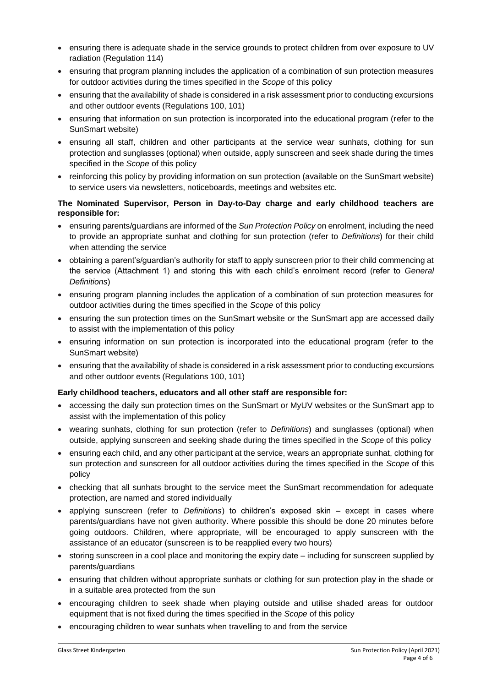- ensuring there is adequate shade in the service grounds to protect children from over exposure to UV radiation (Regulation 114)
- ensuring that program planning includes the application of a combination of sun protection measures for outdoor activities during the times specified in the *Scope* of this policy
- ensuring that the availability of shade is considered in a risk assessment prior to conducting excursions and other outdoor events (Regulations 100, 101)
- ensuring that information on sun protection is incorporated into the educational program (refer to the SunSmart website)
- ensuring all staff, children and other participants at the service wear sunhats, clothing for sun protection and sunglasses (optional) when outside, apply sunscreen and seek shade during the times specified in the *Scope* of this policy
- reinforcing this policy by providing information on sun protection (available on the SunSmart website) to service users via newsletters, noticeboards, meetings and websites etc.

#### **The Nominated Supervisor, Person in Day-to-Day charge and early childhood teachers are responsible for:**

- ensuring parents/guardians are informed of the *Sun Protection Policy* on enrolment, including the need to provide an appropriate sunhat and clothing for sun protection (refer to *Definitions*) for their child when attending the service
- obtaining a parent's/guardian's authority for staff to apply sunscreen prior to their child commencing at the service (Attachment 1) and storing this with each child's enrolment record (refer to *General Definitions*)
- ensuring program planning includes the application of a combination of sun protection measures for outdoor activities during the times specified in the *Scope* of this policy
- ensuring the sun protection times on the SunSmart website or the SunSmart app are accessed daily to assist with the implementation of this policy
- ensuring information on sun protection is incorporated into the educational program (refer to the SunSmart website)
- ensuring that the availability of shade is considered in a risk assessment prior to conducting excursions and other outdoor events (Regulations 100, 101)

#### **Early childhood teachers, educators and all other staff are responsible for:**

- accessing the daily sun protection times on the SunSmart or MyUV websites or the SunSmart app to assist with the implementation of this policy
- wearing sunhats, clothing for sun protection (refer to *Definitions*) and sunglasses (optional) when outside, applying sunscreen and seeking shade during the times specified in the *Scope* of this policy
- ensuring each child, and any other participant at the service, wears an appropriate sunhat, clothing for sun protection and sunscreen for all outdoor activities during the times specified in the *Scope* of this policy
- checking that all sunhats brought to the service meet the SunSmart recommendation for adequate protection, are named and stored individually
- applying sunscreen (refer to *Definitions*) to children's exposed skin except in cases where parents/guardians have not given authority. Where possible this should be done 20 minutes before going outdoors. Children, where appropriate, will be encouraged to apply sunscreen with the assistance of an educator (sunscreen is to be reapplied every two hours)
- storing sunscreen in a cool place and monitoring the expiry date including for sunscreen supplied by parents/guardians
- ensuring that children without appropriate sunhats or clothing for sun protection play in the shade or in a suitable area protected from the sun
- encouraging children to seek shade when playing outside and utilise shaded areas for outdoor equipment that is not fixed during the times specified in the *Scope* of this policy
- encouraging children to wear sunhats when travelling to and from the service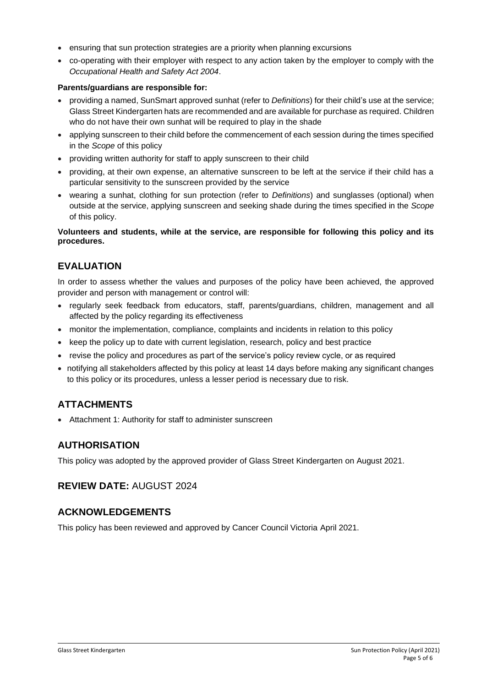- ensuring that sun protection strategies are a priority when planning excursions
- co-operating with their employer with respect to any action taken by the employer to comply with the *Occupational Health and Safety Act 2004*.

#### **Parents/guardians are responsible for:**

- providing a named, SunSmart approved sunhat (refer to *Definitions*) for their child's use at the service; Glass Street Kindergarten hats are recommended and are available for purchase as required. Children who do not have their own sunhat will be required to play in the shade
- applying sunscreen to their child before the commencement of each session during the times specified in the *Scope* of this policy
- providing written authority for staff to apply sunscreen to their child
- providing, at their own expense, an alternative sunscreen to be left at the service if their child has a particular sensitivity to the sunscreen provided by the service
- wearing a sunhat, clothing for sun protection (refer to *Definitions*) and sunglasses (optional) when outside at the service, applying sunscreen and seeking shade during the times specified in the *Scope* of this policy.

#### **Volunteers and students, while at the service, are responsible for following this policy and its procedures.**

## **EVALUATION**

In order to assess whether the values and purposes of the policy have been achieved, the approved provider and person with management or control will:

- regularly seek feedback from educators, staff, parents/guardians, children, management and all affected by the policy regarding its effectiveness
- monitor the implementation, compliance, complaints and incidents in relation to this policy
- keep the policy up to date with current legislation, research, policy and best practice
- revise the policy and procedures as part of the service's policy review cycle, or as required
- notifying all stakeholders affected by this policy at least 14 days before making any significant changes to this policy or its procedures, unless a lesser period is necessary due to risk.

## **ATTACHMENTS**

• Attachment 1: Authority for staff to administer sunscreen

## **AUTHORISATION**

This policy was adopted by the approved provider of Glass Street Kindergarten on August 2021.

**REVIEW DATE:** AUGUST 2024

## **ACKNOWLEDGEMENTS**

This policy has been reviewed and approved by Cancer Council Victoria April 2021.